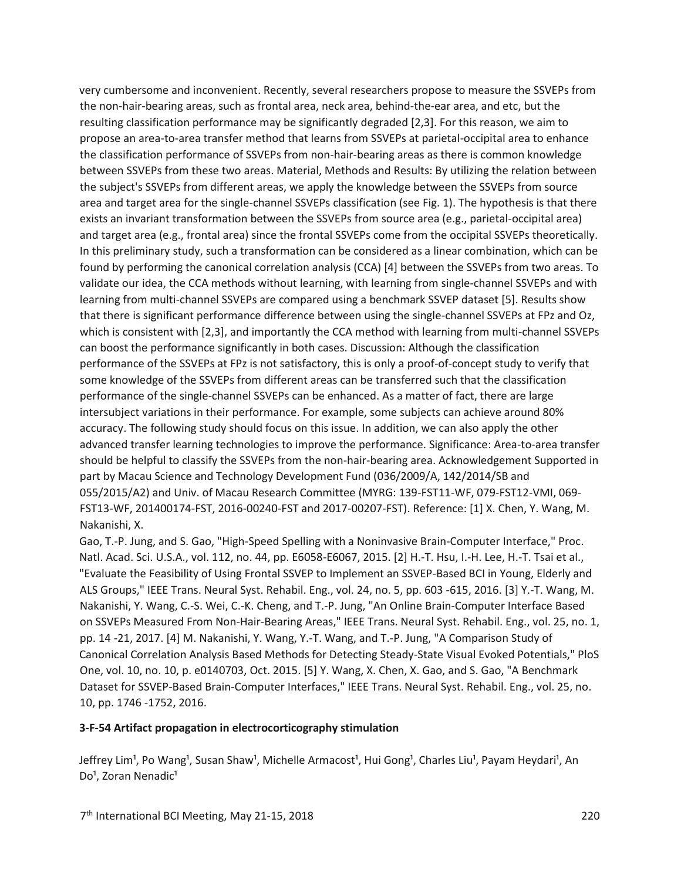very cumbersome and inconvenient. Recently, several researchers propose to measure the SSVEPs from the non-hair-bearing areas, such as frontal area, neck area, behind-the-ear area, and etc, but the resulting classification performance may be significantly degraded [2,3]. For this reason, we aim to propose an area-to-area transfer method that learns from SSVEPs at parietal-occipital area to enhance the classification performance of SSVEPs from non-hair-bearing areas as there is common knowledge between SSVEPs from these two areas. Material, Methods and Results: By utilizing the relation between the subject's SSVEPs from different areas, we apply the knowledge between the SSVEPs from source area and target area for the single-channel SSVEPs classification (see Fig. 1). The hypothesis is that there exists an invariant transformation between the SSVEPs from source area (e.g., parietal-occipital area) and target area (e.g., frontal area) since the frontal SSVEPs come from the occipital SSVEPs theoretically. In this preliminary study, such a transformation can be considered as a linear combination, which can be found by performing the canonical correlation analysis (CCA) [4] between the SSVEPs from two areas. To validate our idea, the CCA methods without learning, with learning from single-channel SSVEPs and with learning from multi-channel SSVEPs are compared using a benchmark SSVEP dataset [5]. Results show that there is significant performance difference between using the single-channel SSVEPs at FPz and Oz, which is consistent with [2,3], and importantly the CCA method with learning from multi-channel SSVEPs can boost the performance significantly in both cases. Discussion: Although the classification performance of the SSVEPs at FPz is not satisfactory, this is only a proof-of-concept study to verify that some knowledge of the SSVEPs from different areas can be transferred such that the classification performance of the single-channel SSVEPs can be enhanced. As a matter of fact, there are large intersubject variations in their performance. For example, some subjects can achieve around 80% accuracy. The following study should focus on this issue. In addition, we can also apply the other advanced transfer learning technologies to improve the performance. Significance: Area-to-area transfer should be helpful to classify the SSVEPs from the non-hair-bearing area. Acknowledgement Supported in part by Macau Science and Technology Development Fund (036/2009/A, 142/2014/SB and 055/2015/A2) and Univ. of Macau Research Committee (MYRG: 139-FST11-WF, 079-FST12-VMI, 069- FST13-WF, 201400174-FST, 2016-00240-FST and 2017-00207-FST). Reference: [1] X. Chen, Y. Wang, M. Nakanishi, X.

Gao, T.-P. Jung, and S. Gao, "High-Speed Spelling with a Noninvasive Brain-Computer Interface," Proc. Natl. Acad. Sci. U.S.A., vol. 112, no. 44, pp. E6058-E6067, 2015. [2] H.-T. Hsu, I.-H. Lee, H.-T. Tsai et al., "Evaluate the Feasibility of Using Frontal SSVEP to Implement an SSVEP-Based BCI in Young, Elderly and ALS Groups," IEEE Trans. Neural Syst. Rehabil. Eng., vol. 24, no. 5, pp. 603 -615, 2016. [3] Y.-T. Wang, M. Nakanishi, Y. Wang, C.-S. Wei, C.-K. Cheng, and T.-P. Jung, "An Online Brain-Computer Interface Based on SSVEPs Measured From Non-Hair-Bearing Areas," IEEE Trans. Neural Syst. Rehabil. Eng., vol. 25, no. 1, pp. 14 -21, 2017. [4] M. Nakanishi, Y. Wang, Y.-T. Wang, and T.-P. Jung, "A Comparison Study of Canonical Correlation Analysis Based Methods for Detecting Steady-State Visual Evoked Potentials," PloS One, vol. 10, no. 10, p. e0140703, Oct. 2015. [5] Y. Wang, X. Chen, X. Gao, and S. Gao, "A Benchmark Dataset for SSVEP-Based Brain-Computer Interfaces," IEEE Trans. Neural Syst. Rehabil. Eng., vol. 25, no. 10, pp. 1746 -1752, 2016.

## **3-F-54 Artifact propagation in electrocorticography stimulation**

Jeffrey Lim<sup>1</sup>, Po Wang<sup>1</sup>, Susan Shaw<sup>1</sup>, Michelle Armacost<sup>1</sup>, Hui Gong<sup>1</sup>, Charles Liu<sup>1</sup>, Payam Heydari<sup>1</sup>, An Do<sup>1</sup>, Zoran Nenadic<sup>1</sup>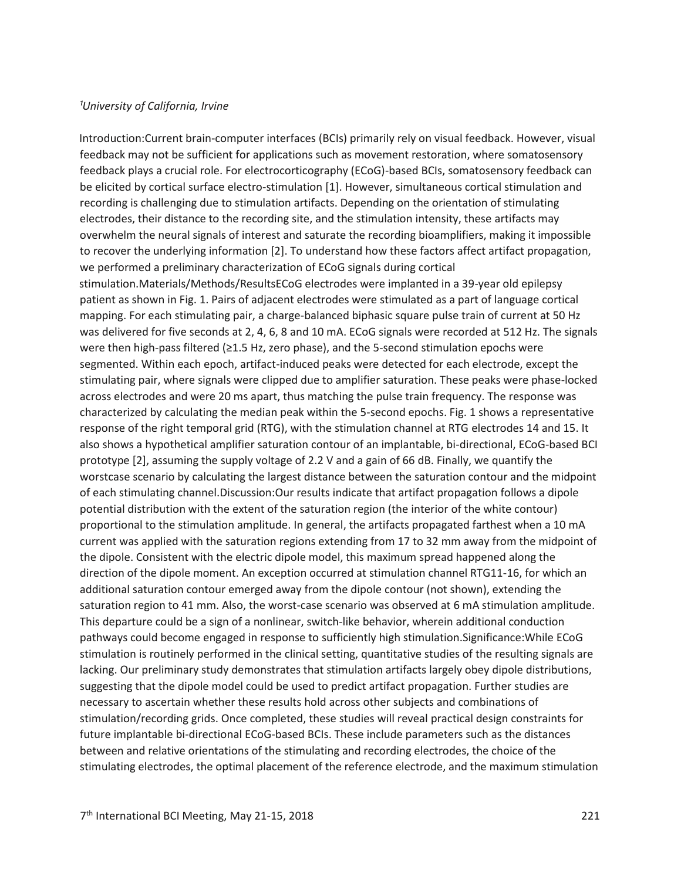## *¹University of California, Irvine*

Introduction:Current brain-computer interfaces (BCIs) primarily rely on visual feedback. However, visual feedback may not be sufficient for applications such as movement restoration, where somatosensory feedback plays a crucial role. For electrocorticography (ECoG)-based BCIs, somatosensory feedback can be elicited by cortical surface electro-stimulation [1]. However, simultaneous cortical stimulation and recording is challenging due to stimulation artifacts. Depending on the orientation of stimulating electrodes, their distance to the recording site, and the stimulation intensity, these artifacts may overwhelm the neural signals of interest and saturate the recording bioamplifiers, making it impossible to recover the underlying information [2]. To understand how these factors affect artifact propagation, we performed a preliminary characterization of ECoG signals during cortical stimulation.Materials/Methods/ResultsECoG electrodes were implanted in a 39-year old epilepsy patient as shown in Fig. 1. Pairs of adjacent electrodes were stimulated as a part of language cortical mapping. For each stimulating pair, a charge-balanced biphasic square pulse train of current at 50 Hz was delivered for five seconds at 2, 4, 6, 8 and 10 mA. ECoG signals were recorded at 512 Hz. The signals were then high-pass filtered (≥1.5 Hz, zero phase), and the 5-second stimulation epochs were segmented. Within each epoch, artifact-induced peaks were detected for each electrode, except the stimulating pair, where signals were clipped due to amplifier saturation. These peaks were phase-locked across electrodes and were 20 ms apart, thus matching the pulse train frequency. The response was characterized by calculating the median peak within the 5-second epochs. Fig. 1 shows a representative response of the right temporal grid (RTG), with the stimulation channel at RTG electrodes 14 and 15. It also shows a hypothetical amplifier saturation contour of an implantable, bi-directional, ECoG-based BCI prototype [2], assuming the supply voltage of 2.2 V and a gain of 66 dB. Finally, we quantify the worstcase scenario by calculating the largest distance between the saturation contour and the midpoint of each stimulating channel.Discussion:Our results indicate that artifact propagation follows a dipole potential distribution with the extent of the saturation region (the interior of the white contour) proportional to the stimulation amplitude. In general, the artifacts propagated farthest when a 10 mA current was applied with the saturation regions extending from 17 to 32 mm away from the midpoint of the dipole. Consistent with the electric dipole model, this maximum spread happened along the direction of the dipole moment. An exception occurred at stimulation channel RTG11-16, for which an additional saturation contour emerged away from the dipole contour (not shown), extending the saturation region to 41 mm. Also, the worst-case scenario was observed at 6 mA stimulation amplitude. This departure could be a sign of a nonlinear, switch-like behavior, wherein additional conduction pathways could become engaged in response to sufficiently high stimulation.Significance:While ECoG stimulation is routinely performed in the clinical setting, quantitative studies of the resulting signals are lacking. Our preliminary study demonstrates that stimulation artifacts largely obey dipole distributions, suggesting that the dipole model could be used to predict artifact propagation. Further studies are necessary to ascertain whether these results hold across other subjects and combinations of stimulation/recording grids. Once completed, these studies will reveal practical design constraints for future implantable bi-directional ECoG-based BCIs. These include parameters such as the distances between and relative orientations of the stimulating and recording electrodes, the choice of the stimulating electrodes, the optimal placement of the reference electrode, and the maximum stimulation